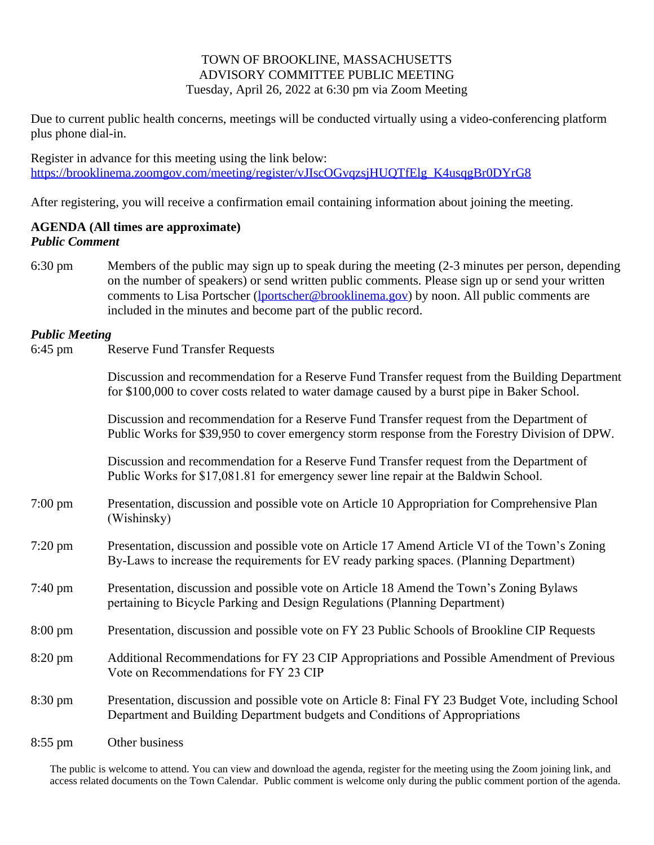## TOWN OF BROOKLINE, MASSACHUSETTS ADVISORY COMMITTEE PUBLIC MEETING Tuesday, April 26, 2022 at 6:30 pm via Zoom Meeting

Due to current public health concerns, meetings will be conducted virtually using a video-conferencing platform plus phone dial-in.

Register in advance for this meeting using the link below: [https://brooklinema.zoomgov.com/meeting/register/vJIscOGvqzsjHUQTfElg\\_K4usqgBr0DYrG8](https://brooklinema.zoomgov.com/meeting/register/vJIscOGvqzsjHUQTfElg_K4usqgBr0DYrG8)

After registering, you will receive a confirmation email containing information about joining the meeting.

## **AGENDA (All times are approximate)** *Public Comment*

6:30 pm Members of the public may sign up to speak during the meeting (2-3 minutes per person, depending on the number of speakers) or send written public comments. Please sign up or send your written comments to Lisa Portscher [\(lportscher@brooklinema.gov](mailto:lportscher@brooklinema.gov)) by noon. All public comments are included in the minutes and become part of the public record.

## *Public Meeting*

6:45 pm Reserve Fund Transfer Requests

Discussion and recommendation for a Reserve Fund Transfer request from the Building Department for \$100,000 to cover costs related to water damage caused by a burst pipe in Baker School.

Discussion and recommendation for a Reserve Fund Transfer request from the Department of Public Works for \$39,950 to cover emergency storm response from the Forestry Division of DPW.

Discussion and recommendation for a Reserve Fund Transfer request from the Department of Public Works for \$17,081.81 for emergency sewer line repair at the Baldwin School.

- 7:00 pm Presentation, discussion and possible vote on Article 10 Appropriation for Comprehensive Plan (Wishinsky)
- 7:20 pm Presentation, discussion and possible vote on Article 17 Amend Article VI of the Town's Zoning By-Laws to increase the requirements for EV ready parking spaces. (Planning Department)
- 7:40 pm Presentation, discussion and possible vote on Article 18 Amend the Town's Zoning Bylaws pertaining to Bicycle Parking and Design Regulations (Planning Department)
- 8:00 pm Presentation, discussion and possible vote on FY 23 Public Schools of Brookline CIP Requests
- 8:20 pm Additional Recommendations for FY 23 CIP Appropriations and Possible Amendment of Previous Vote on Recommendations for FY 23 CIP
- 8:30 pm Presentation, discussion and possible vote on Article 8: Final FY 23 Budget Vote, including School Department and Building Department budgets and Conditions of Appropriations
- 8:55 pm Other business

The public is welcome to attend. You can view and download the agenda, register for the meeting using the Zoom joining link, and access related documents on the Town Calendar. Public comment is welcome only during the public comment portion of the agenda.